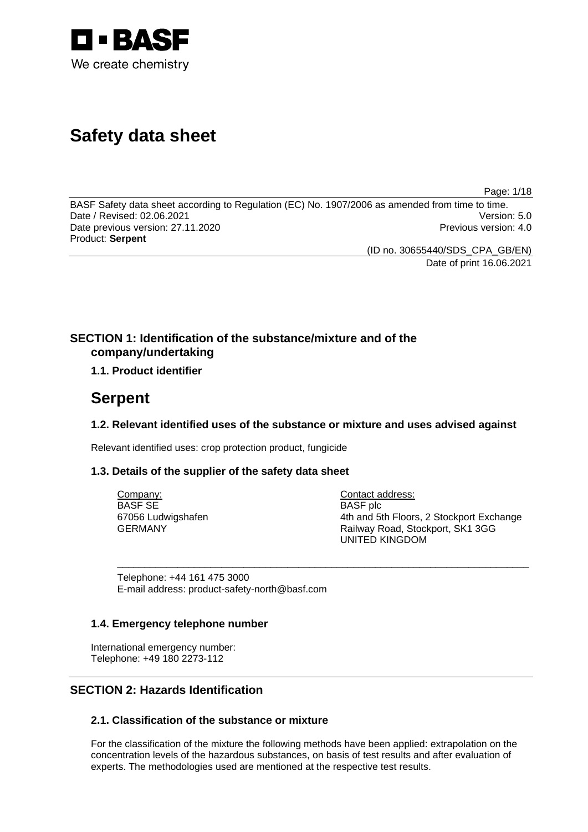

# **Safety data sheet**

Page: 1/18

BASF Safety data sheet according to Regulation (EC) No. 1907/2006 as amended from time to time. Date / Revised: 02.06.2021 Version: 5.0 Date previous version: 27.11.2020 **Previous version: 4.0** Previous version: 4.0 Product: **Serpent** 

(ID no. 30655440/SDS\_CPA\_GB/EN)

Date of print 16.06.2021

## **SECTION 1: Identification of the substance/mixture and of the company/undertaking**

## **1.1. Product identifier**

## **Serpent**

## **1.2. Relevant identified uses of the substance or mixture and uses advised against**

\_\_\_\_\_\_\_\_\_\_\_\_\_\_\_\_\_\_\_\_\_\_\_\_\_\_\_\_\_\_\_\_\_\_\_\_\_\_\_\_\_\_\_\_\_\_\_\_\_\_\_\_\_\_\_\_\_\_\_\_\_\_\_\_\_\_\_\_\_\_\_\_\_\_\_

Relevant identified uses: crop protection product, fungicide

## **1.3. Details of the supplier of the safety data sheet**

Company: BASF SE 67056 Ludwigshafen GERMANY

Contact address: BASF plc 4th and 5th Floors, 2 Stockport Exchange Railway Road, Stockport, SK1 3GG UNITED KINGDOM

Telephone: +44 161 475 3000 E-mail address: product-safety-north@basf.com

## **1.4. Emergency telephone number**

International emergency number: Telephone: +49 180 2273-112

## **SECTION 2: Hazards Identification**

## **2.1. Classification of the substance or mixture**

For the classification of the mixture the following methods have been applied: extrapolation on the concentration levels of the hazardous substances, on basis of test results and after evaluation of experts. The methodologies used are mentioned at the respective test results.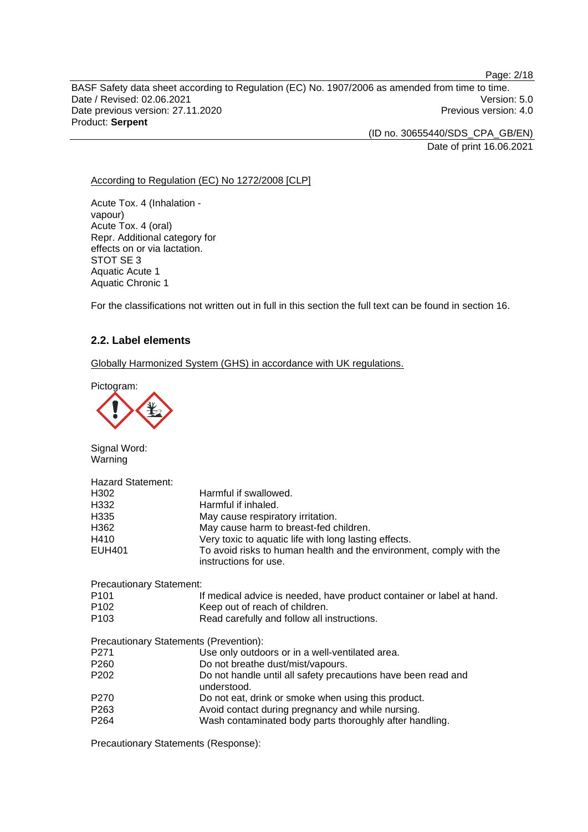BASF Safety data sheet according to Regulation (EC) No. 1907/2006 as amended from time to time. Date / Revised: 02.06.2021 Version: 5.0 Date previous version: 27.11.2020 **Previous version: 4.0** Previous version: 4.0 Product: **Serpent** 

> (ID no. 30655440/SDS\_CPA\_GB/EN) Date of print 16.06.2021

According to Regulation (EC) No 1272/2008 [CLP]

Acute Tox. 4 (Inhalation vapour) Acute Tox. 4 (oral) Repr. Additional category for effects on or via lactation. STOT SE 3 Aquatic Acute 1 Aquatic Chronic 1

For the classifications not written out in full in this section the full text can be found in section 16.

## **2.2. Label elements**

Globally Harmonized System (GHS) in accordance with UK regulations.

Pictogram:



Signal Word: Warning

| <b>Hazard Statement:</b><br>H <sub>302</sub><br>H332<br>H335<br>H362<br>H410<br><b>EUH401</b> | Harmful if swallowed.<br>Harmful if inhaled.<br>May cause respiratory irritation.<br>May cause harm to breast-fed children.<br>Very toxic to aquatic life with long lasting effects.<br>To avoid risks to human health and the environment, comply with the<br>instructions for use. |
|-----------------------------------------------------------------------------------------------|--------------------------------------------------------------------------------------------------------------------------------------------------------------------------------------------------------------------------------------------------------------------------------------|
| <b>Precautionary Statement:</b>                                                               |                                                                                                                                                                                                                                                                                      |
| P <sub>101</sub>                                                                              | If medical advice is needed, have product container or label at hand.                                                                                                                                                                                                                |
| P <sub>102</sub>                                                                              | Keep out of reach of children.                                                                                                                                                                                                                                                       |
| P <sub>103</sub>                                                                              | Read carefully and follow all instructions.                                                                                                                                                                                                                                          |
| Precautionary Statements (Prevention):                                                        |                                                                                                                                                                                                                                                                                      |
| P <sub>271</sub>                                                                              | Use only outdoors or in a well-ventilated area.                                                                                                                                                                                                                                      |
| P <sub>260</sub>                                                                              | Do not breathe dust/mist/vapours.                                                                                                                                                                                                                                                    |
| P <sub>202</sub>                                                                              | Do not handle until all safety precautions have been read and<br>understood.                                                                                                                                                                                                         |
| P <sub>270</sub>                                                                              | Do not eat, drink or smoke when using this product.                                                                                                                                                                                                                                  |
| P <sub>263</sub>                                                                              | Avoid contact during pregnancy and while nursing.                                                                                                                                                                                                                                    |
| P <sub>264</sub>                                                                              | Wash contaminated body parts thoroughly after handling.                                                                                                                                                                                                                              |

Precautionary Statements (Response):

#### Page: 2/18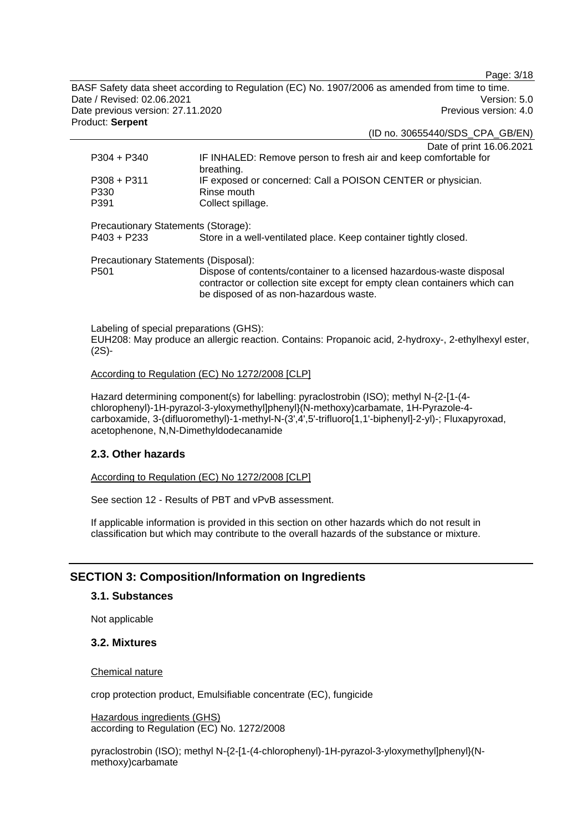Page: 3/18

BASF Safety data sheet according to Regulation (EC) No. 1907/2006 as amended from time to time. Date / Revised: 02.06.2021 Version: 5.0 Date previous version: 27.11.2020 **Previous version: 4.0** Previous version: 4.0 Product: **Serpent** 

(ID no. 30655440/SDS\_CPA\_GB/EN)

|                                                      | Date of print 16.06.2021                                                                                                                                                                    |
|------------------------------------------------------|---------------------------------------------------------------------------------------------------------------------------------------------------------------------------------------------|
| $P304 + P340$                                        | IF INHALED: Remove person to fresh air and keep comfortable for<br>breathing.                                                                                                               |
| $P308 + P311$                                        | IF exposed or concerned: Call a POISON CENTER or physician.                                                                                                                                 |
| P330                                                 | Rinse mouth                                                                                                                                                                                 |
| P391                                                 | Collect spillage.                                                                                                                                                                           |
| Precautionary Statements (Storage):<br>$P403 + P233$ | Store in a well-ventilated place. Keep container tightly closed.                                                                                                                            |
| Precautionary Statements (Disposal):                 |                                                                                                                                                                                             |
| P <sub>501</sub>                                     | Dispose of contents/container to a licensed hazardous-waste disposal<br>contractor or collection site except for empty clean containers which can<br>be disposed of as non-hazardous waste. |
|                                                      |                                                                                                                                                                                             |

Labeling of special preparations (GHS): EUH208: May produce an allergic reaction. Contains: Propanoic acid, 2-hydroxy-, 2-ethylhexyl ester, (2S)-

#### According to Regulation (EC) No 1272/2008 [CLP]

Hazard determining component(s) for labelling: pyraclostrobin (ISO); methyl N-{2-[1-(4 chlorophenyl)-1H-pyrazol-3-yloxymethyl]phenyl}(N-methoxy)carbamate, 1H-Pyrazole-4 carboxamide, 3-(difluoromethyl)-1-methyl-N-(3',4',5'-trifluoro[1,1'-biphenyl]-2-yl)-; Fluxapyroxad, acetophenone, N,N-Dimethyldodecanamide

## **2.3. Other hazards**

According to Regulation (EC) No 1272/2008 [CLP]

See section 12 - Results of PBT and vPvB assessment.

If applicable information is provided in this section on other hazards which do not result in classification but which may contribute to the overall hazards of the substance or mixture.

## **SECTION 3: Composition/Information on Ingredients**

## **3.1. Substances**

Not applicable

## **3.2. Mixtures**

#### Chemical nature

crop protection product, Emulsifiable concentrate (EC), fungicide

Hazardous ingredients (GHS) according to Regulation (EC) No. 1272/2008

pyraclostrobin (ISO); methyl N-{2-[1-(4-chlorophenyl)-1H-pyrazol-3-yloxymethyl]phenyl}(Nmethoxy)carbamate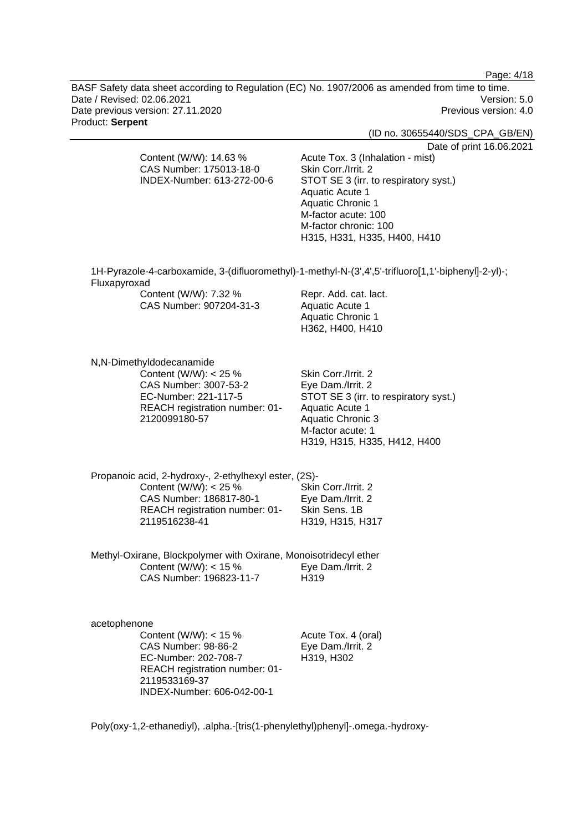Page: 4/18

BASF Safety data sheet according to Regulation (EC) No. 1907/2006 as amended from time to time. Date / Revised: 02.06.2021 Version: 5.0 Date previous version: 27.11.2020 **Previous version: 4.0** Previous version: 4.0 Product: **Serpent** 

(ID no. 30655440/SDS\_CPA\_GB/EN)

Date of print 16.06.2021

CAS Number: 175013-18-0 INDEX-Number: 613-272-00-6 Skin Corr./Irrit. 2 STOT SE 3 (irr. to respiratory syst.) Aquatic Acute 1 Aquatic Chronic 1 M-factor acute: 100 M-factor chronic: 100 H315, H331, H335, H400, H410 1H-Pyrazole-4-carboxamide, 3-(difluoromethyl)-1-methyl-N-(3',4',5'-trifluoro[1,1'-biphenyl]-2-yl)-; Content (W/W) 7 32 % Repr. Add. cat. lact.

Acute Tox. 3 (Inhalation - mist)

| <b>UUIIIEIII (YY/YY). 1.JZ</b> 70 | <b>INGUI. AUU. UAL IAU</b> |
|-----------------------------------|----------------------------|
| CAS Number: 907204-31-3           | Aquatic Acute 1            |
|                                   | Aquatic Chronic 1          |
|                                   | H362. H400. H410           |

N,N-Dimethyldodecanamide

Fluxapyroxad

Content (W/W): < 25 % CAS Number: 3007-53-2 EC-Number: 221-117-5 REACH registration number: 01- 2120099180-57

Content (W/W): 14.63 %

Skin Corr./Irrit. 2 Eye Dam./Irrit. 2 STOT SE 3 (irr. to respiratory syst.) Aquatic Acute 1 Aquatic Chronic 3 M-factor acute: 1 H319, H315, H335, H412, H400

Propanoic acid, 2-hydroxy-, 2-ethylhexyl ester, (2S)- Content (W/W):  $< 25 \%$ CAS Number: 186817-80-1 REACH registration number: 01- 2119516238-41 Skin Corr./Irrit. 2 Eye Dam./Irrit. 2 Skin Sens. 1B H319, H315, H317

Methyl-Oxirane, Blockpolymer with Oxirane, Monoisotridecyl ether Content (W/W):  $<$  15 % CAS Number: 196823-11-7 Eye Dam./Irrit. 2 H319

acetophenone Content (W/W):  $<$  15 % CAS Number: 98-86-2 EC-Number: 202-708-7 REACH registration number: 01- 2119533169-37 INDEX-Number: 606-042-00-1

Acute Tox. 4 (oral) Eye Dam./Irrit. 2 H319, H302

Poly(oxy-1,2-ethanediyl), .alpha.-[tris(1-phenylethyl)phenyl]-.omega.-hydroxy-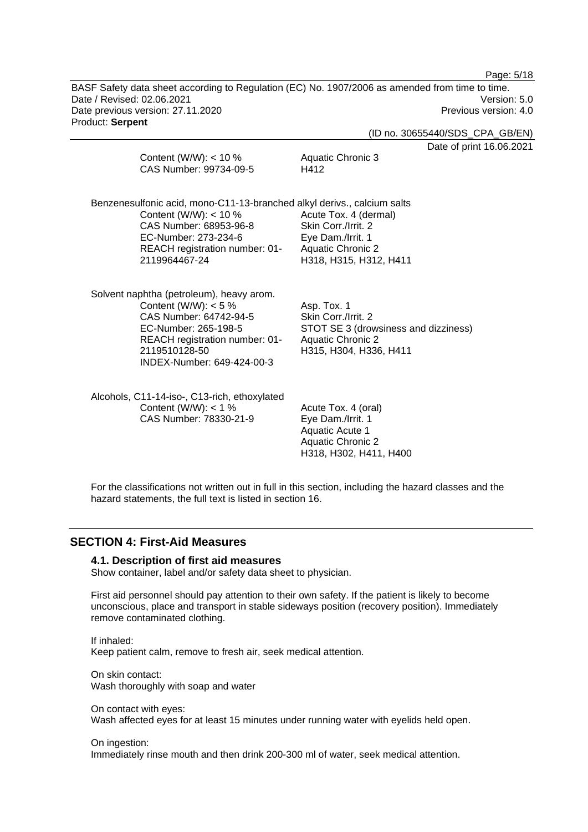Page: 5/18

BASF Safety data sheet according to Regulation (EC) No. 1907/2006 as amended from time to time. Date / Revised: 02.06.2021 Version: 5.0 Date previous version: 27.11.2020 **Previous version: 4.0** Previous version: 4.0 Product: **Serpent** 

(ID no. 30655440/SDS\_CPA\_GB/EN)

nt 16.06.2021

| Content (W/W): $<$ 10 %<br>CAS Number: 99734-09-5                                                                                                                                                       | Aquatic Chronic 3<br>H412                                                                                                        | Date of prin |
|---------------------------------------------------------------------------------------------------------------------------------------------------------------------------------------------------------|----------------------------------------------------------------------------------------------------------------------------------|--------------|
| Benzenesulfonic acid, mono-C11-13-branched alkyl derivs., calcium salts<br>Content (W/W): $<$ 10 %<br>CAS Number: 68953-96-8<br>EC-Number: 273-234-6<br>REACH registration number: 01-<br>2119964467-24 | Acute Tox. 4 (dermal)<br>Skin Corr./Irrit. 2<br>Eye Dam./Irrit. 1<br><b>Aquatic Chronic 2</b><br>H318, H315, H312, H411          |              |
| Solvent naphtha (petroleum), heavy arom.<br>Content (W/W): $<$ 5 %<br>CAS Number: 64742-94-5<br>EC-Number: 265-198-5<br>REACH registration number: 01-<br>2119510128-50<br>INDEX-Number: 649-424-00-3   | Asp. Tox. 1<br>Skin Corr./Irrit. 2<br>STOT SE 3 (drowsiness and dizziness)<br><b>Aquatic Chronic 2</b><br>H315, H304, H336, H411 |              |
| Alcohols, C11-14-iso-, C13-rich, ethoxylated<br>Content (W/W): $<$ 1 %<br>CAS Number: 78330-21-9                                                                                                        | Acute Tox. 4 (oral)<br>Eye Dam./Irrit. 1<br>Aquatic Acute 1<br><b>Aquatic Chronic 2</b><br>H318, H302, H411, H400                |              |

For the classifications not written out in full in this section, including the hazard classes and the hazard statements, the full text is listed in section 16.

## **SECTION 4: First-Aid Measures**

## **4.1. Description of first aid measures**

Show container, label and/or safety data sheet to physician.

First aid personnel should pay attention to their own safety. If the patient is likely to become unconscious, place and transport in stable sideways position (recovery position). Immediately remove contaminated clothing.

If inhaled: Keep patient calm, remove to fresh air, seek medical attention.

On skin contact: Wash thoroughly with soap and water

On contact with eyes: Wash affected eyes for at least 15 minutes under running water with eyelids held open.

#### On ingestion:

Immediately rinse mouth and then drink 200-300 ml of water, seek medical attention.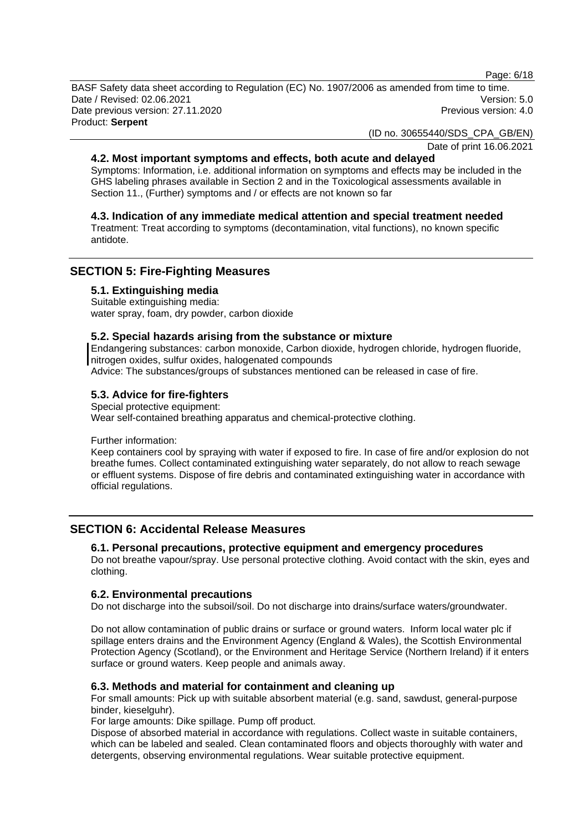Page: 6/18

BASF Safety data sheet according to Regulation (EC) No. 1907/2006 as amended from time to time. Date / Revised: 02.06.2021 Version: 5.0 Date previous version: 27.11.2020 **Previous version: 4.0** Previous version: 4.0 Product: **Serpent** 

(ID no. 30655440/SDS\_CPA\_GB/EN)

Date of print 16.06.2021

## **4.2. Most important symptoms and effects, both acute and delayed**

Symptoms: Information, i.e. additional information on symptoms and effects may be included in the GHS labeling phrases available in Section 2 and in the Toxicological assessments available in Section 11., (Further) symptoms and / or effects are not known so far

## **4.3. Indication of any immediate medical attention and special treatment needed**

Treatment: Treat according to symptoms (decontamination, vital functions), no known specific antidote.

## **SECTION 5: Fire-Fighting Measures**

#### **5.1. Extinguishing media**

Suitable extinguishing media: water spray, foam, dry powder, carbon dioxide

#### **5.2. Special hazards arising from the substance or mixture**

Endangering substances: carbon monoxide, Carbon dioxide, hydrogen chloride, hydrogen fluoride, nitrogen oxides, sulfur oxides, halogenated compounds

Advice: The substances/groups of substances mentioned can be released in case of fire.

## **5.3. Advice for fire-fighters**

Special protective equipment: Wear self-contained breathing apparatus and chemical-protective clothing.

Further information:

Keep containers cool by spraying with water if exposed to fire. In case of fire and/or explosion do not breathe fumes. Collect contaminated extinguishing water separately, do not allow to reach sewage or effluent systems. Dispose of fire debris and contaminated extinguishing water in accordance with official regulations.

## **SECTION 6: Accidental Release Measures**

## **6.1. Personal precautions, protective equipment and emergency procedures**

Do not breathe vapour/spray. Use personal protective clothing. Avoid contact with the skin, eyes and clothing.

## **6.2. Environmental precautions**

Do not discharge into the subsoil/soil. Do not discharge into drains/surface waters/groundwater.

Do not allow contamination of public drains or surface or ground waters. Inform local water plc if spillage enters drains and the Environment Agency (England & Wales), the Scottish Environmental Protection Agency (Scotland), or the Environment and Heritage Service (Northern Ireland) if it enters surface or ground waters. Keep people and animals away.

## **6.3. Methods and material for containment and cleaning up**

For small amounts: Pick up with suitable absorbent material (e.g. sand, sawdust, general-purpose binder, kieselguhr).

For large amounts: Dike spillage. Pump off product.

Dispose of absorbed material in accordance with regulations. Collect waste in suitable containers, which can be labeled and sealed. Clean contaminated floors and objects thoroughly with water and detergents, observing environmental regulations. Wear suitable protective equipment.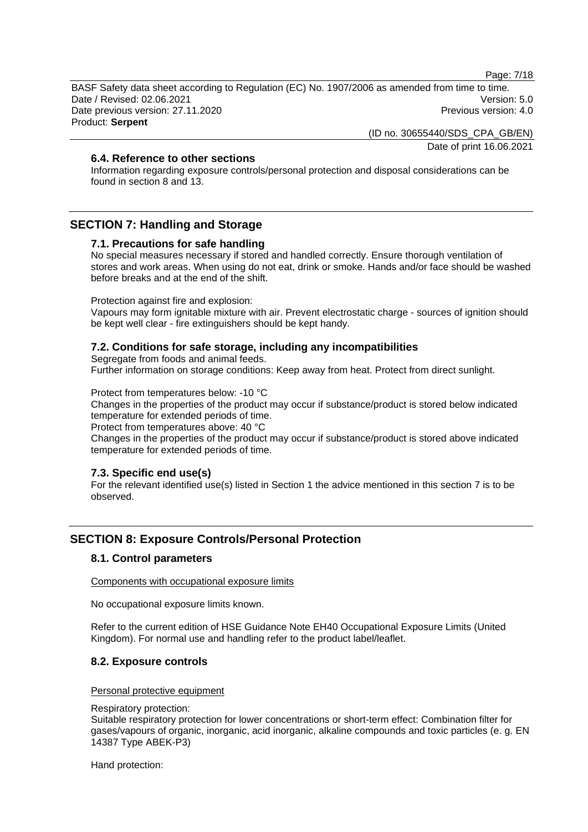Page: 7/18

BASF Safety data sheet according to Regulation (EC) No. 1907/2006 as amended from time to time. Date / Revised: 02.06.2021 Version: 5.0 Date previous version: 27.11.2020 **Previous version: 4.0** Previous version: 4.0 Product: **Serpent** 

(ID no. 30655440/SDS\_CPA\_GB/EN)

Date of print 16.06.2021

## **6.4. Reference to other sections**

Information regarding exposure controls/personal protection and disposal considerations can be found in section 8 and 13.

## **SECTION 7: Handling and Storage**

#### **7.1. Precautions for safe handling**

No special measures necessary if stored and handled correctly. Ensure thorough ventilation of stores and work areas. When using do not eat, drink or smoke. Hands and/or face should be washed before breaks and at the end of the shift.

Protection against fire and explosion:

Vapours may form ignitable mixture with air. Prevent electrostatic charge - sources of ignition should be kept well clear - fire extinguishers should be kept handy.

#### **7.2. Conditions for safe storage, including any incompatibilities**

Segregate from foods and animal feeds.

Further information on storage conditions: Keep away from heat. Protect from direct sunlight.

Protect from temperatures below: -10 °C

Changes in the properties of the product may occur if substance/product is stored below indicated temperature for extended periods of time.

Protect from temperatures above: 40 °C

Changes in the properties of the product may occur if substance/product is stored above indicated temperature for extended periods of time.

#### **7.3. Specific end use(s)**

For the relevant identified use(s) listed in Section 1 the advice mentioned in this section 7 is to be observed.

## **SECTION 8: Exposure Controls/Personal Protection**

#### **8.1. Control parameters**

Components with occupational exposure limits

No occupational exposure limits known.

Refer to the current edition of HSE Guidance Note EH40 Occupational Exposure Limits (United Kingdom). For normal use and handling refer to the product label/leaflet.

#### **8.2. Exposure controls**

#### Personal protective equipment

#### Respiratory protection:

Suitable respiratory protection for lower concentrations or short-term effect: Combination filter for gases/vapours of organic, inorganic, acid inorganic, alkaline compounds and toxic particles (e. g. EN 14387 Type ABEK-P3)

Hand protection: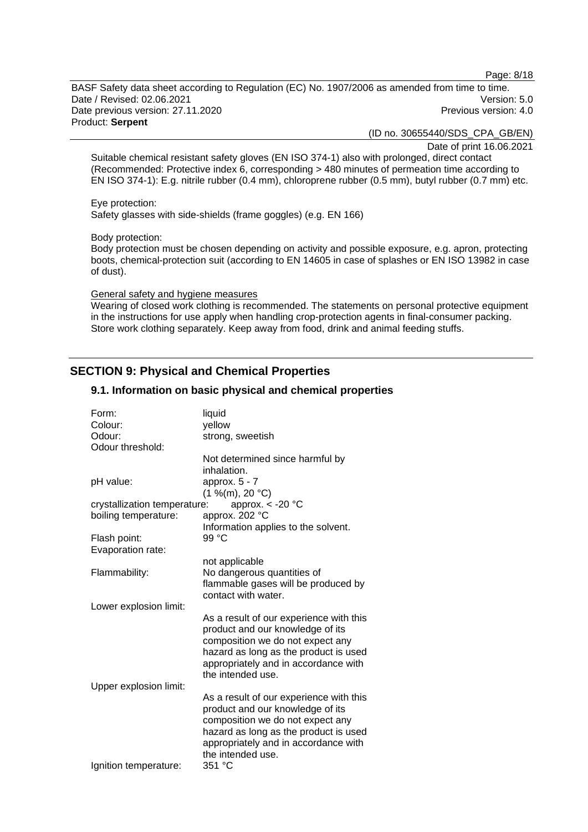Page: 8/18

BASF Safety data sheet according to Regulation (EC) No. 1907/2006 as amended from time to time. Date / Revised: 02.06.2021 Version: 5.0 Date previous version: 27.11.2020 **Previous version: 4.0** Previous version: 4.0 Product: **Serpent** 

(ID no. 30655440/SDS\_CPA\_GB/EN)

Date of print 16.06.2021

Suitable chemical resistant safety gloves (EN ISO 374-1) also with prolonged, direct contact (Recommended: Protective index 6, corresponding > 480 minutes of permeation time according to EN ISO 374-1): E.g. nitrile rubber (0.4 mm), chloroprene rubber (0.5 mm), butyl rubber (0.7 mm) etc.

Eye protection:

Safety glasses with side-shields (frame goggles) (e.g. EN 166)

Body protection:

Body protection must be chosen depending on activity and possible exposure, e.g. apron, protecting boots, chemical-protection suit (according to EN 14605 in case of splashes or EN ISO 13982 in case of dust).

#### General safety and hygiene measures

Wearing of closed work clothing is recommended. The statements on personal protective equipment in the instructions for use apply when handling crop-protection agents in final-consumer packing. Store work clothing separately. Keep away from food, drink and animal feeding stuffs.

## **SECTION 9: Physical and Chemical Properties**

#### Form: liquid Colour: yellow Odour: strong, sweetish Odour threshold: Not determined since harmful by inhalation. pH value: approx. 5 - 7  $(1 \frac{9}{6}$ (m), 20 °C) crystallization temperature: approx. < -20 °C boiling temperature: approx. 202 °C Information applies to the solvent. Flash point: 99 °C Evaporation rate: not applicable Flammability: No dangerous quantities of flammable gases will be produced by contact with water. Lower explosion limit: As a result of our experience with this product and our knowledge of its composition we do not expect any hazard as long as the product is used appropriately and in accordance with the intended use. Upper explosion limit: As a result of our experience with this product and our knowledge of its composition we do not expect any hazard as long as the product is used appropriately and in accordance with the intended use. Ignition temperature: 351 °C

## **9.1. Information on basic physical and chemical properties**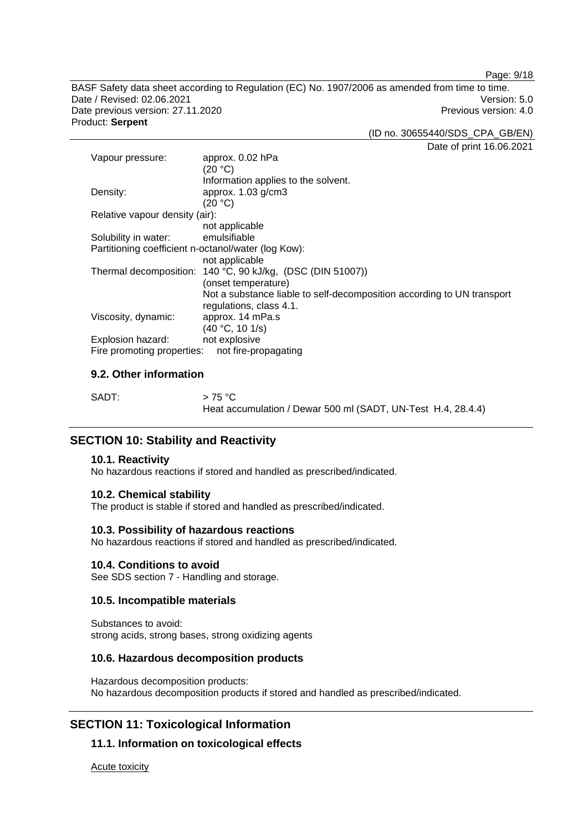Page: 9/18

BASF Safety data sheet according to Regulation (EC) No. 1907/2006 as amended from time to time. Date / Revised: 02.06.2021 Version: 5.0 Date previous version: 27.11.2020 **Previous version: 4.0** Previous version: 4.0 Product: **Serpent** 

(ID no. 30655440/SDS\_CPA\_GB/EN)

Date of print 16.06.2021

| Vapour pressure:                                    | approx. 0.02 hPa<br>(20 °C)                                                                       |  |
|-----------------------------------------------------|---------------------------------------------------------------------------------------------------|--|
|                                                     | Information applies to the solvent.                                                               |  |
| Density:                                            | approx. 1.03 g/cm3                                                                                |  |
|                                                     | (20 °C)                                                                                           |  |
| Relative vapour density (air):                      |                                                                                                   |  |
|                                                     | not applicable                                                                                    |  |
| Solubility in water:                                | emulsifiable                                                                                      |  |
| Partitioning coefficient n-octanol/water (log Kow): |                                                                                                   |  |
|                                                     | not applicable                                                                                    |  |
|                                                     | Thermal decomposition: 140 °C, 90 kJ/kg, (DSC (DIN 51007))                                        |  |
|                                                     | (onset temperature)                                                                               |  |
|                                                     | Not a substance liable to self-decomposition according to UN transport<br>regulations, class 4.1. |  |
| Viscosity, dynamic:                                 | approx. 14 mPa.s                                                                                  |  |
|                                                     | (40 °C, 10 1/s)                                                                                   |  |
| Explosion hazard:                                   | not explosive                                                                                     |  |
| Fire promoting properties:                          | not fire-propagating                                                                              |  |

## **9.2. Other information**

| SADT: | $>75\,^{\circ}\mathrm{C}$                                    |
|-------|--------------------------------------------------------------|
|       | Heat accumulation / Dewar 500 ml (SADT, UN-Test H.4, 28.4.4) |

## **SECTION 10: Stability and Reactivity**

#### **10.1. Reactivity**

No hazardous reactions if stored and handled as prescribed/indicated.

#### **10.2. Chemical stability**

The product is stable if stored and handled as prescribed/indicated.

#### **10.3. Possibility of hazardous reactions**

No hazardous reactions if stored and handled as prescribed/indicated.

#### **10.4. Conditions to avoid**

See SDS section 7 - Handling and storage.

## **10.5. Incompatible materials**

Substances to avoid: strong acids, strong bases, strong oxidizing agents

#### **10.6. Hazardous decomposition products**

Hazardous decomposition products: No hazardous decomposition products if stored and handled as prescribed/indicated.

## **SECTION 11: Toxicological Information**

## **11.1. Information on toxicological effects**

Acute toxicity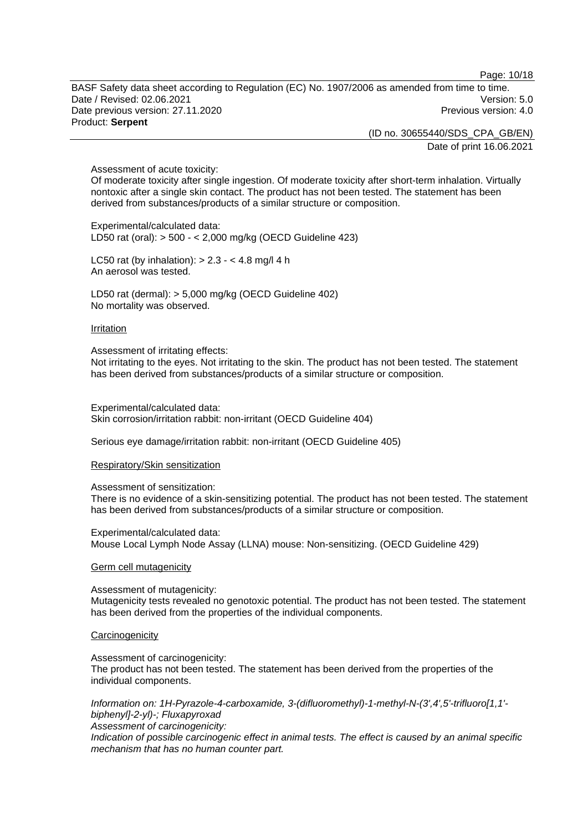Page: 10/18

BASF Safety data sheet according to Regulation (EC) No. 1907/2006 as amended from time to time. Date / Revised: 02.06.2021 Version: 5.0 Date previous version: 27.11.2020 **Previous version: 4.0** Previous version: 4.0 Product: **Serpent** 

> (ID no. 30655440/SDS\_CPA\_GB/EN) Date of print 16.06.2021

Assessment of acute toxicity:

Of moderate toxicity after single ingestion. Of moderate toxicity after short-term inhalation. Virtually nontoxic after a single skin contact. The product has not been tested. The statement has been derived from substances/products of a similar structure or composition.

Experimental/calculated data: LD50 rat (oral): > 500 - < 2,000 mg/kg (OECD Guideline 423)

LC50 rat (by inhalation):  $> 2.3 - 4.8$  mg/l 4 h An aerosol was tested.

LD50 rat (dermal): > 5,000 mg/kg (OECD Guideline 402) No mortality was observed.

#### **Irritation**

Assessment of irritating effects:

Not irritating to the eyes. Not irritating to the skin. The product has not been tested. The statement has been derived from substances/products of a similar structure or composition.

Experimental/calculated data: Skin corrosion/irritation rabbit: non-irritant (OECD Guideline 404)

Serious eye damage/irritation rabbit: non-irritant (OECD Guideline 405)

#### Respiratory/Skin sensitization

Assessment of sensitization:

There is no evidence of a skin-sensitizing potential. The product has not been tested. The statement has been derived from substances/products of a similar structure or composition.

Experimental/calculated data: Mouse Local Lymph Node Assay (LLNA) mouse: Non-sensitizing. (OECD Guideline 429)

#### Germ cell mutagenicity

Assessment of mutagenicity: Mutagenicity tests revealed no genotoxic potential. The product has not been tested. The statement has been derived from the properties of the individual components.

#### **Carcinogenicity**

Assessment of carcinogenicity: The product has not been tested. The statement has been derived from the properties of the individual components.

*Information on: 1H-Pyrazole-4-carboxamide, 3-(difluoromethyl)-1-methyl-N-(3',4',5'-trifluoro[1,1' biphenyl]-2-yl)-; Fluxapyroxad Assessment of carcinogenicity:* 

*Indication of possible carcinogenic effect in animal tests. The effect is caused by an animal specific mechanism that has no human counter part.*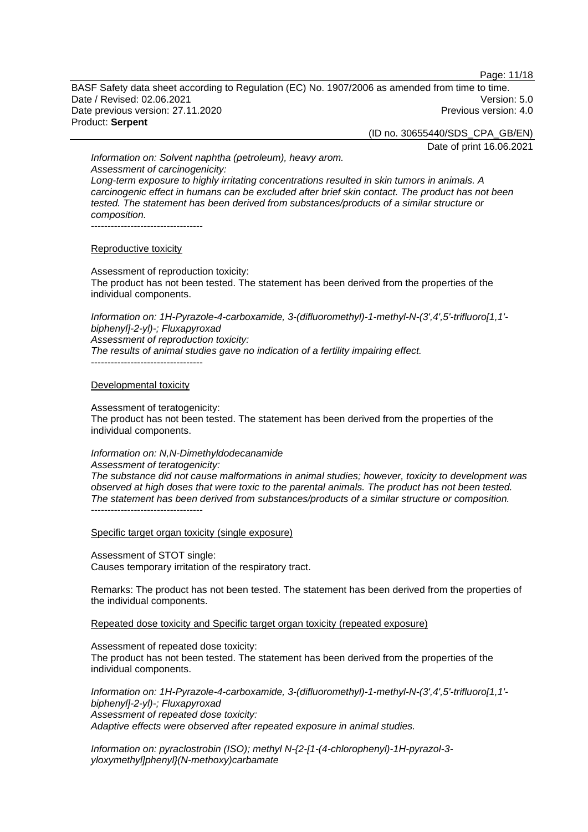Page: 11/18

BASF Safety data sheet according to Regulation (EC) No. 1907/2006 as amended from time to time. Date / Revised: 02.06.2021 Version: 5.0 Date previous version: 27.11.2020 **Previous version: 4.0** Previous version: 4.0 Product: **Serpent** 

(ID no. 30655440/SDS\_CPA\_GB/EN)

Date of print 16.06.2021

*Information on: Solvent naphtha (petroleum), heavy arom. Assessment of carcinogenicity: Long-term exposure to highly irritating concentrations resulted in skin tumors in animals. A carcinogenic effect in humans can be excluded after brief skin contact. The product has not been tested. The statement has been derived from substances/products of a similar structure or composition.*  ----------------------------------

#### Reproductive toxicity

Assessment of reproduction toxicity: The product has not been tested. The statement has been derived from the properties of the individual components.

*Information on: 1H-Pyrazole-4-carboxamide, 3-(difluoromethyl)-1-methyl-N-(3',4',5'-trifluoro[1,1' biphenyl]-2-yl)-; Fluxapyroxad Assessment of reproduction toxicity: The results of animal studies gave no indication of a fertility impairing effect.*  ----------------------------------

#### Developmental toxicity

Assessment of teratogenicity:

The product has not been tested. The statement has been derived from the properties of the individual components.

## *Information on: N,N-Dimethyldodecanamide*

*Assessment of teratogenicity: The substance did not cause malformations in animal studies; however, toxicity to development was observed at high doses that were toxic to the parental animals. The product has not been tested. The statement has been derived from substances/products of a similar structure or composition.*  ----------------------------------

Specific target organ toxicity (single exposure)

Assessment of STOT single: Causes temporary irritation of the respiratory tract.

Remarks: The product has not been tested. The statement has been derived from the properties of the individual components.

Repeated dose toxicity and Specific target organ toxicity (repeated exposure)

Assessment of repeated dose toxicity:

The product has not been tested. The statement has been derived from the properties of the individual components.

*Information on: 1H-Pyrazole-4-carboxamide, 3-(difluoromethyl)-1-methyl-N-(3',4',5'-trifluoro[1,1' biphenyl]-2-yl)-; Fluxapyroxad Assessment of repeated dose toxicity: Adaptive effects were observed after repeated exposure in animal studies.* 

*Information on: pyraclostrobin (ISO); methyl N-{2-[1-(4-chlorophenyl)-1H-pyrazol-3 yloxymethyl]phenyl}(N-methoxy)carbamate*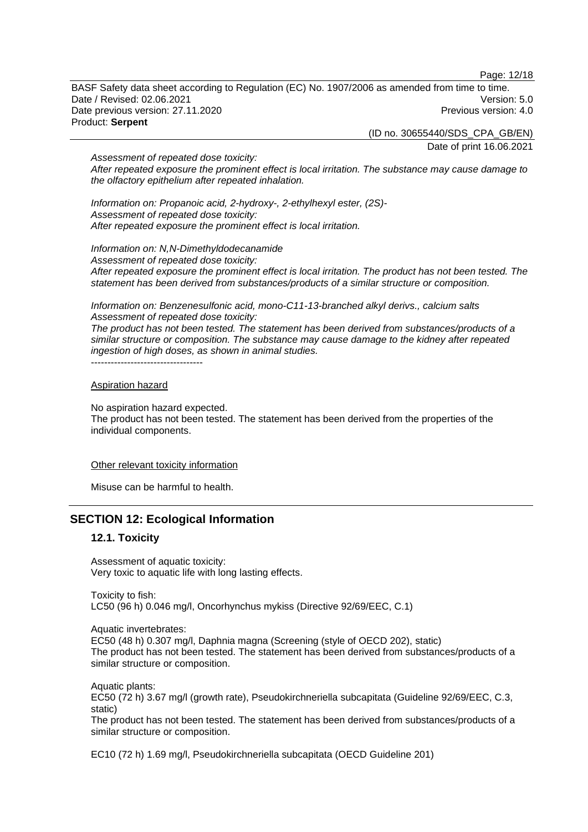Page: 12/18

BASF Safety data sheet according to Regulation (EC) No. 1907/2006 as amended from time to time. Date / Revised: 02.06.2021 Version: 5.0 Date previous version: 27.11.2020 **Previous version: 4.0** Previous version: 4.0 Product: **Serpent** 

(ID no. 30655440/SDS\_CPA\_GB/EN)

Date of print 16.06.2021

*Assessment of repeated dose toxicity: After repeated exposure the prominent effect is local irritation. The substance may cause damage to the olfactory epithelium after repeated inhalation.* 

*Information on: Propanoic acid, 2-hydroxy-, 2-ethylhexyl ester, (2S)- Assessment of repeated dose toxicity: After repeated exposure the prominent effect is local irritation.* 

*Information on: N,N-Dimethyldodecanamide Assessment of repeated dose toxicity: After repeated exposure the prominent effect is local irritation. The product has not been tested. The statement has been derived from substances/products of a similar structure or composition.* 

*Information on: Benzenesulfonic acid, mono-C11-13-branched alkyl derivs., calcium salts Assessment of repeated dose toxicity:* 

*The product has not been tested. The statement has been derived from substances/products of a similar structure or composition. The substance may cause damage to the kidney after repeated ingestion of high doses, as shown in animal studies.*  ----------------------------------

#### Aspiration hazard

No aspiration hazard expected.

The product has not been tested. The statement has been derived from the properties of the individual components.

#### Other relevant toxicity information

Misuse can be harmful to health.

## **SECTION 12: Ecological Information**

## **12.1. Toxicity**

Assessment of aquatic toxicity: Very toxic to aquatic life with long lasting effects.

Toxicity to fish: LC50 (96 h) 0.046 mg/l, Oncorhynchus mykiss (Directive 92/69/EEC, C.1)

Aquatic invertebrates:

EC50 (48 h) 0.307 mg/l, Daphnia magna (Screening (style of OECD 202), static) The product has not been tested. The statement has been derived from substances/products of a similar structure or composition.

Aquatic plants: EC50 (72 h) 3.67 mg/l (growth rate), Pseudokirchneriella subcapitata (Guideline 92/69/EEC, C.3, static)

The product has not been tested. The statement has been derived from substances/products of a similar structure or composition.

EC10 (72 h) 1.69 mg/l, Pseudokirchneriella subcapitata (OECD Guideline 201)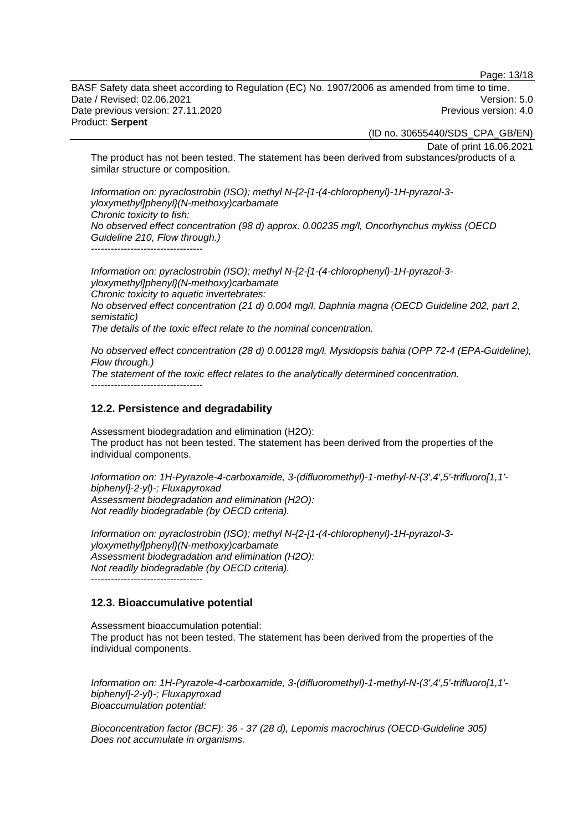Page: 13/18

BASF Safety data sheet according to Regulation (EC) No. 1907/2006 as amended from time to time. Date / Revised: 02.06.2021 Version: 5.0 Date previous version: 27.11.2020 **Previous version: 4.0** Previous version: 4.0 Product: **Serpent** 

(ID no. 30655440/SDS\_CPA\_GB/EN)

Date of print 16.06.2021

The product has not been tested. The statement has been derived from substances/products of a similar structure or composition.

*Information on: pyraclostrobin (ISO); methyl N-{2-[1-(4-chlorophenyl)-1H-pyrazol-3 yloxymethyl]phenyl}(N-methoxy)carbamate Chronic toxicity to fish: No observed effect concentration (98 d) approx. 0.00235 mg/l, Oncorhynchus mykiss (OECD Guideline 210, Flow through.)*   $-$ 

*Information on: pyraclostrobin (ISO); methyl N-{2-[1-(4-chlorophenyl)-1H-pyrazol-3 yloxymethyl]phenyl}(N-methoxy)carbamate Chronic toxicity to aquatic invertebrates: No observed effect concentration (21 d) 0.004 mg/l, Daphnia magna (OECD Guideline 202, part 2, semistatic) The details of the toxic effect relate to the nominal concentration.* 

*No observed effect concentration (28 d) 0.00128 mg/l, Mysidopsis bahia (OPP 72-4 (EPA-Guideline), Flow through.) The statement of the toxic effect relates to the analytically determined concentration.*   $-$ 

#### **12.2. Persistence and degradability**

Assessment biodegradation and elimination (H2O): The product has not been tested. The statement has been derived from the properties of the individual components.

*Information on: 1H-Pyrazole-4-carboxamide, 3-(difluoromethyl)-1-methyl-N-(3',4',5'-trifluoro[1,1' biphenyl]-2-yl)-; Fluxapyroxad Assessment biodegradation and elimination (H2O): Not readily biodegradable (by OECD criteria).* 

*Information on: pyraclostrobin (ISO); methyl N-{2-[1-(4-chlorophenyl)-1H-pyrazol-3 yloxymethyl]phenyl}(N-methoxy)carbamate Assessment biodegradation and elimination (H2O): Not readily biodegradable (by OECD criteria).*  ----------------------------------

#### **12.3. Bioaccumulative potential**

Assessment bioaccumulation potential: The product has not been tested. The statement has been derived from the properties of the individual components.

*Information on: 1H-Pyrazole-4-carboxamide, 3-(difluoromethyl)-1-methyl-N-(3',4',5'-trifluoro[1,1' biphenyl]-2-yl)-; Fluxapyroxad Bioaccumulation potential:* 

*Bioconcentration factor (BCF): 36 - 37 (28 d), Lepomis macrochirus (OECD-Guideline 305) Does not accumulate in organisms.*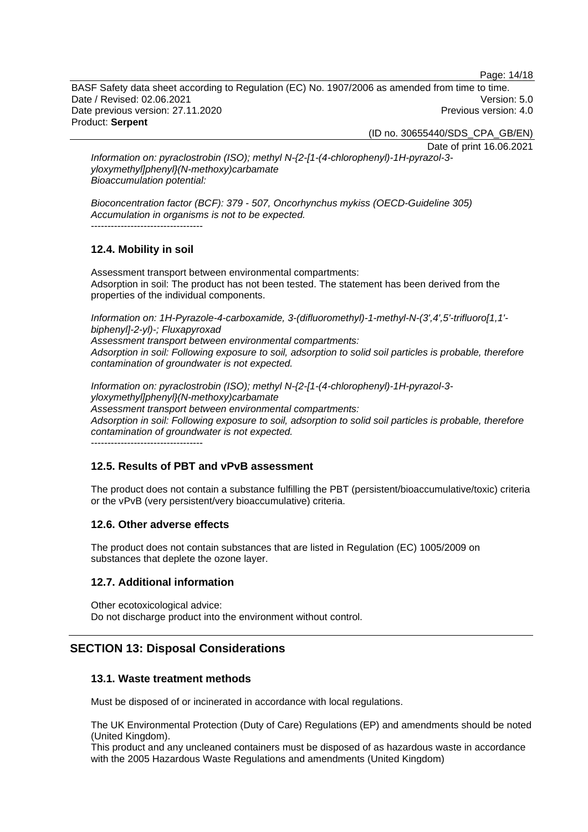Page: 14/18

BASF Safety data sheet according to Regulation (EC) No. 1907/2006 as amended from time to time. Date / Revised: 02.06.2021 Version: 5.0 Date previous version: 27.11.2020 **Previous version: 4.0** Previous version: 4.0 Product: **Serpent** 

(ID no. 30655440/SDS\_CPA\_GB/EN)

Date of print 16.06.2021

*Information on: pyraclostrobin (ISO); methyl N-{2-[1-(4-chlorophenyl)-1H-pyrazol-3 yloxymethyl]phenyl}(N-methoxy)carbamate Bioaccumulation potential:* 

*Bioconcentration factor (BCF): 379 - 507, Oncorhynchus mykiss (OECD-Guideline 305) Accumulation in organisms is not to be expected.*  ----------------------------------

## **12.4. Mobility in soil**

Assessment transport between environmental compartments: Adsorption in soil: The product has not been tested. The statement has been derived from the properties of the individual components.

*Information on: 1H-Pyrazole-4-carboxamide, 3-(difluoromethyl)-1-methyl-N-(3',4',5'-trifluoro[1,1' biphenyl]-2-yl)-; Fluxapyroxad* 

*Assessment transport between environmental compartments: Adsorption in soil: Following exposure to soil, adsorption to solid soil particles is probable, therefore contamination of groundwater is not expected.*

*Information on: pyraclostrobin (ISO); methyl N-{2-[1-(4-chlorophenyl)-1H-pyrazol-3 yloxymethyl]phenyl}(N-methoxy)carbamate Assessment transport between environmental compartments: Adsorption in soil: Following exposure to soil, adsorption to solid soil particles is probable, therefore contamination of groundwater is not expected.*

----------------------------------

## **12.5. Results of PBT and vPvB assessment**

The product does not contain a substance fulfilling the PBT (persistent/bioaccumulative/toxic) criteria or the vPvB (very persistent/very bioaccumulative) criteria.

## **12.6. Other adverse effects**

The product does not contain substances that are listed in Regulation (EC) 1005/2009 on substances that deplete the ozone layer.

## **12.7. Additional information**

Other ecotoxicological advice: Do not discharge product into the environment without control.

## **SECTION 13: Disposal Considerations**

## **13.1. Waste treatment methods**

Must be disposed of or incinerated in accordance with local regulations.

The UK Environmental Protection (Duty of Care) Regulations (EP) and amendments should be noted (United Kingdom).

This product and any uncleaned containers must be disposed of as hazardous waste in accordance with the 2005 Hazardous Waste Regulations and amendments (United Kingdom)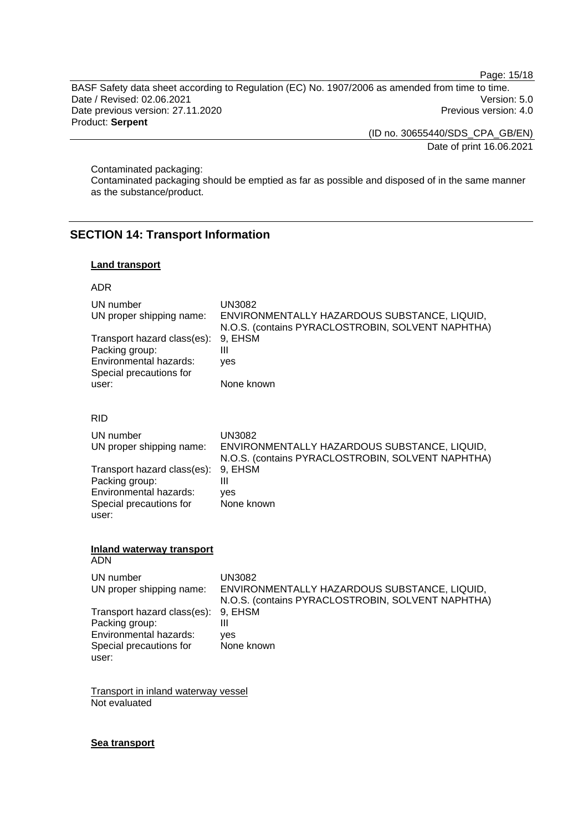Page: 15/18

BASF Safety data sheet according to Regulation (EC) No. 1907/2006 as amended from time to time. Date / Revised: 02.06.2021 Version: 5.0 Date previous version: 27.11.2020 Previous version: 4.0 Product: **Serpent** 

(ID no. 30655440/SDS\_CPA\_GB/EN)

Date of print 16.06.2021

Contaminated packaging:

Contaminated packaging should be emptied as far as possible and disposed of in the same manner as the substance/product.

## **SECTION 14: Transport Information**

## **Land transport**

#### ADR

| UN number<br>UN proper shipping name:<br>Transport hazard class(es):<br>Packing group:<br>Environmental hazards:<br>Special precautions for<br>user: | <b>UN3082</b><br>ENVIRONMENTALLY HAZARDOUS SUBSTANCE, LIQUID,<br>N.O.S. (contains PYRACLOSTROBIN, SOLVENT NAPHTHA)<br>9, EHSM<br>$\mathbf{III}$<br>yes<br>None known |
|------------------------------------------------------------------------------------------------------------------------------------------------------|----------------------------------------------------------------------------------------------------------------------------------------------------------------------|
| <b>RID</b>                                                                                                                                           |                                                                                                                                                                      |
| UN number<br>UN proper shipping name:                                                                                                                | <b>UN3082</b><br>ENVIRONMENTALLY HAZARDOUS SUBSTANCE, LIQUID,<br>N.O.S. (contains PYRACLOSTROBIN, SOLVENT NAPHTHA)                                                   |
| Transport hazard class(es):<br>Packing group:<br>Environmental hazards:<br>Special precautions for<br>user:                                          | 9, EHSM<br>$\mathbf{III}$<br>ves<br>None known                                                                                                                       |
| Inland waterway transport<br><b>ADN</b>                                                                                                              |                                                                                                                                                                      |
| UN number                                                                                                                                            | <b>UN3082</b>                                                                                                                                                        |
| UN proper shipping name:                                                                                                                             | ENVIRONMENTALLY HAZARDOUS SUBSTANCE, LIQUID,<br>N.O.S. (contains PYRACLOSTROBIN, SOLVENT NAPHTHA)                                                                    |
| Transport hazard class(es):<br>Packing group:<br>Environmental hazards:<br>Special precautions for<br>user:                                          | 9, EHSM<br>$\mathbf{III}$<br>ves<br>None known                                                                                                                       |
|                                                                                                                                                      |                                                                                                                                                                      |

Transport in inland waterway vessel Not evaluated

#### **Sea transport**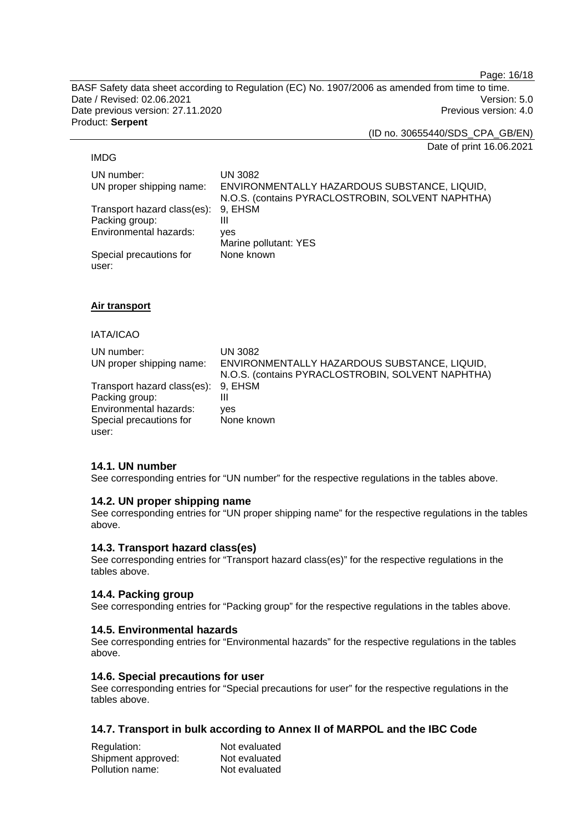Page: 16/18

BASF Safety data sheet according to Regulation (EC) No. 1907/2006 as amended from time to time. Date / Revised: 02.06.2021 Version: 5.0 Date previous version: 27.11.2020 **Previous version: 4.0** Previous version: 4.0 Product: **Serpent** 

(ID no. 30655440/SDS\_CPA\_GB/EN)

Date of print 16.06.2021

#### IMDG

UN number: UN 3082 UN proper shipping name: ENVIRONMENTALLY HAZARDOUS SUBSTANCE, LIQUID, N.O.S. (contains PYRACLOSTROBIN, SOLVENT NAPHTHA) Transport hazard class(es): 9, EHSM Packing group: III Environmental hazards: yes Marine pollutant: YES Special precautions for user: None known

## **Air transport**

#### IATA/ICAO

| UN number:<br>UN proper shipping name: | UN 3082<br>ENVIRONMENTALLY HAZARDOUS SUBSTANCE, LIQUID,<br>N.O.S. (contains PYRACLOSTROBIN, SOLVENT NAPHTHA) |
|----------------------------------------|--------------------------------------------------------------------------------------------------------------|
| Transport hazard class(es): 9, EHSM    |                                                                                                              |
| Packing group:                         | Ш                                                                                                            |
| Environmental hazards:                 | ves                                                                                                          |
| Special precautions for                | None known                                                                                                   |
| user:                                  |                                                                                                              |

## **14.1. UN number**

See corresponding entries for "UN number" for the respective regulations in the tables above.

## **14.2. UN proper shipping name**

See corresponding entries for "UN proper shipping name" for the respective regulations in the tables above.

## **14.3. Transport hazard class(es)**

See corresponding entries for "Transport hazard class(es)" for the respective regulations in the tables above.

## **14.4. Packing group**

See corresponding entries for "Packing group" for the respective regulations in the tables above.

## **14.5. Environmental hazards**

See corresponding entries for "Environmental hazards" for the respective regulations in the tables above.

## **14.6. Special precautions for user**

See corresponding entries for "Special precautions for user" for the respective regulations in the tables above.

## **14.7. Transport in bulk according to Annex II of MARPOL and the IBC Code**

| Regulation:        | Not evaluated |
|--------------------|---------------|
| Shipment approved: | Not evaluated |
| Pollution name:    | Not evaluated |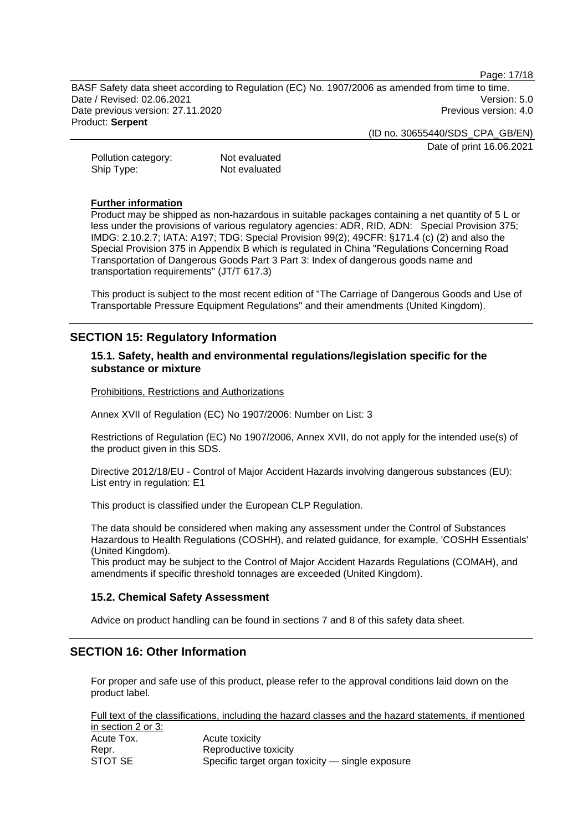Page: 17/18

BASF Safety data sheet according to Regulation (EC) No. 1907/2006 as amended from time to time. Date / Revised: 02.06.2021 Version: 5.0 Date previous version: 27.11.2020 **Previous version: 4.0** Previous version: 4.0 Product: **Serpent** 

(ID no. 30655440/SDS\_CPA\_GB/EN)

Date of print 16.06.2021

Pollution category: Not evaluated Ship Type: Not evaluated

#### **Further information**

Product may be shipped as non-hazardous in suitable packages containing a net quantity of 5 L or less under the provisions of various regulatory agencies: ADR, RID, ADN: Special Provision 375; IMDG: 2.10.2.7; IATA: A197; TDG: Special Provision 99(2); 49CFR: §171.4 (c) (2) and also the Special Provision 375 in Appendix B which is regulated in China "Regulations Concerning Road Transportation of Dangerous Goods Part 3 Part 3: Index of dangerous goods name and transportation requirements" (JT/T 617.3)

This product is subject to the most recent edition of "The Carriage of Dangerous Goods and Use of Transportable Pressure Equipment Regulations" and their amendments (United Kingdom).

## **SECTION 15: Regulatory Information**

## **15.1. Safety, health and environmental regulations/legislation specific for the substance or mixture**

Prohibitions, Restrictions and Authorizations

Annex XVII of Regulation (EC) No 1907/2006: Number on List: 3

Restrictions of Regulation (EC) No 1907/2006, Annex XVII, do not apply for the intended use(s) of the product given in this SDS.

Directive 2012/18/EU - Control of Major Accident Hazards involving dangerous substances (EU): List entry in regulation: E1

This product is classified under the European CLP Regulation.

The data should be considered when making any assessment under the Control of Substances Hazardous to Health Regulations (COSHH), and related guidance, for example, 'COSHH Essentials' (United Kingdom).

This product may be subject to the Control of Major Accident Hazards Regulations (COMAH), and amendments if specific threshold tonnages are exceeded (United Kingdom).

## **15.2. Chemical Safety Assessment**

Advice on product handling can be found in sections 7 and 8 of this safety data sheet.

## **SECTION 16: Other Information**

For proper and safe use of this product, please refer to the approval conditions laid down on the product label.

Full text of the classifications, including the hazard classes and the hazard statements, if mentioned in section 2 or 3: Acute Tox. Acute toxicity

| AUULT I UA. | <b>AUGE IUAIUILY</b>                             |
|-------------|--------------------------------------------------|
| Repr.       | Reproductive toxicity                            |
| STOT SE     | Specific target organ toxicity - single exposure |